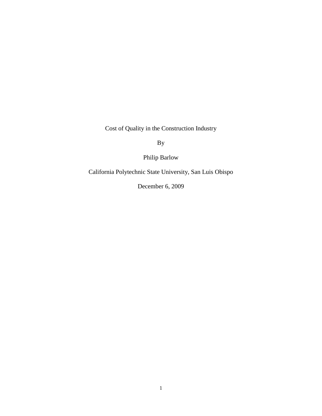Cost of Quality in the Construction Industry

By

Philip Barlow

California Polytechnic State University, San Luis Obispo

December 6, 2009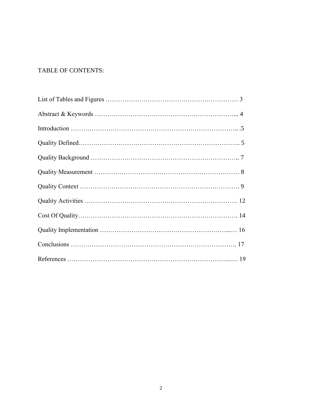# TABLE OF CONTENTS: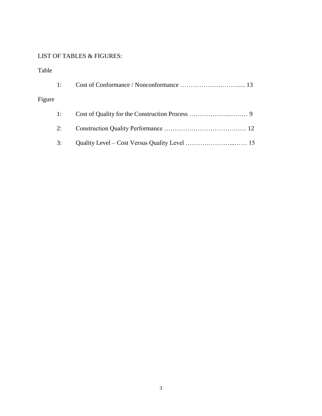# LIST OF TABLES & FIGURES:

# Table

| 1:     |  |
|--------|--|
| Figure |  |
| 1:     |  |
| 2:     |  |
| 3:     |  |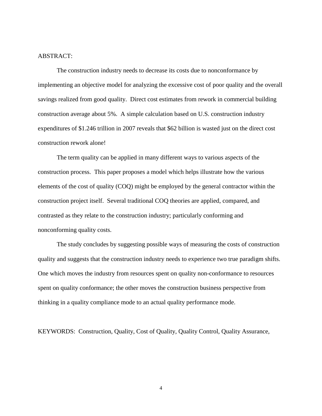#### ABSTRACT:

The construction industry needs to decrease its costs due to nonconformance by implementing an objective model for analyzing the excessive cost of poor quality and the overall savings realized from good quality. Direct cost estimates from rework in commercial building construction average about 5%. A simple calculation based on U.S. construction industry expenditures of \$1.246 trillion in 2007 reveals that \$62 billion is wasted just on the direct cost construction rework alone!

The term quality can be applied in many different ways to various aspects of the construction process. This paper proposes a model which helps illustrate how the various elements of the cost of quality (COQ) might be employed by the general contractor within the construction project itself. Several traditional COQ theories are applied, compared, and contrasted as they relate to the construction industry; particularly conforming and nonconforming quality costs.

The study concludes by suggesting possible ways of measuring the costs of construction quality and suggests that the construction industry needs to experience two true paradigm shifts. One which moves the industry from resources spent on quality non-conformance to resources spent on quality conformance; the other moves the construction business perspective from thinking in a quality compliance mode to an actual quality performance mode.

KEYWORDS: Construction, Quality, Cost of Quality, Quality Control, Quality Assurance,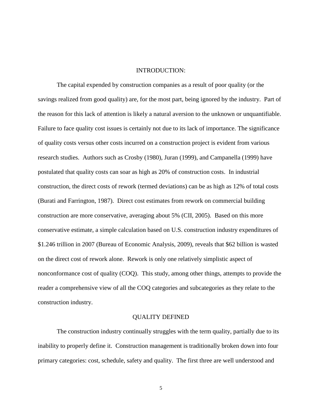## INTRODUCTION:

The capital expended by construction companies as a result of poor quality (or the savings realized from good quality) are, for the most part, being ignored by the industry. Part of the reason for this lack of attention is likely a natural aversion to the unknown or unquantifiable. Failure to face quality cost issues is certainly not due to its lack of importance. The significance of quality costs versus other costs incurred on a construction project is evident from various research studies. Authors such as Crosby (1980), Juran (1999), and Campanella (1999) have postulated that quality costs can soar as high as 20% of construction costs. In industrial construction, the direct costs of rework (termed deviations) can be as high as 12% of total costs (Burati and Farrington, 1987). Direct cost estimates from rework on commercial building construction are more conservative, averaging about 5% (CII, 2005). Based on this more conservative estimate, a simple calculation based on U.S. construction industry expenditures of \$1.246 trillion in 2007 (Bureau of Economic Analysis, 2009), reveals that \$62 billion is wasted on the direct cost of rework alone. Rework is only one relatively simplistic aspect of nonconformance cost of quality (COQ). This study, among other things, attempts to provide the reader a comprehensive view of all the COQ categories and subcategories as they relate to the construction industry.

#### QUALITY DEFINED

The construction industry continually struggles with the term quality, partially due to its inability to properly define it. Construction management is traditionally broken down into four primary categories: cost, schedule, safety and quality. The first three are well understood and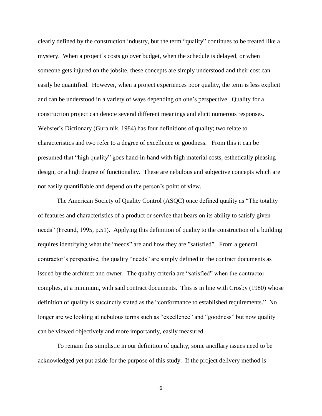clearly defined by the construction industry, but the term "quality" continues to be treated like a mystery. When a project's costs go over budget, when the schedule is delayed, or when someone gets injured on the jobsite, these concepts are simply understood and their cost can easily be quantified. However, when a project experiences poor quality, the term is less explicit and can be understood in a variety of ways depending on one's perspective. Quality for a construction project can denote several different meanings and elicit numerous responses. Webster's Dictionary (Guralnik, 1984) has four definitions of quality; two relate to characteristics and two refer to a degree of excellence or goodness. From this it can be presumed that "high quality" goes hand-in-hand with high material costs, esthetically pleasing design, or a high degree of functionality. These are nebulous and subjective concepts which are not easily quantifiable and depend on the person's point of view.

The American Society of Quality Control (ASQC) once defined quality as "The totality of features and characteristics of a product or service that bears on its ability to satisfy given needs" (Freund, 1995, p.51). Applying this definition of quality to the construction of a building requires identifying what the "needs" are and how they are "satisfied". From a general contractor's perspective, the quality "needs" are simply defined in the contract documents as issued by the architect and owner. The quality criteria are "satisfied" when the contractor complies, at a minimum, with said contract documents. This is in line with Crosby (1980) whose definition of quality is succinctly stated as the "conformance to established requirements." No longer are we looking at nebulous terms such as "excellence" and "goodness" but now quality can be viewed objectively and more importantly, easily measured.

To remain this simplistic in our definition of quality, some ancillary issues need to be acknowledged yet put aside for the purpose of this study. If the project delivery method is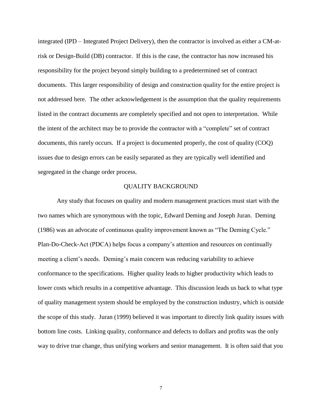integrated (IPD – Integrated Project Delivery), then the contractor is involved as either a CM-atrisk or Design-Build (DB) contractor. If this is the case, the contractor has now increased his responsibility for the project beyond simply building to a predetermined set of contract documents. This larger responsibility of design and construction quality for the entire project is not addressed here. The other acknowledgement is the assumption that the quality requirements listed in the contract documents are completely specified and not open to interpretation. While the intent of the architect may be to provide the contractor with a "complete" set of contract documents, this rarely occurs. If a project is documented properly, the cost of quality (COQ) issues due to design errors can be easily separated as they are typically well identified and segregated in the change order process.

### QUALITY BACKGROUND

Any study that focuses on quality and modern management practices must start with the two names which are synonymous with the topic, Edward Deming and Joseph Juran. Deming (1986) was an advocate of continuous quality improvement known as "The Deming Cycle." Plan-Do-Check-Act (PDCA) helps focus a company's attention and resources on continually meeting a client's needs. Deming's main concern was reducing variability to achieve conformance to the specifications. Higher quality leads to higher productivity which leads to lower costs which results in a competitive advantage. This discussion leads us back to what type of quality management system should be employed by the construction industry, which is outside the scope of this study. Juran (1999) believed it was important to directly link quality issues with bottom line costs. Linking quality, conformance and defects to dollars and profits was the only way to drive true change, thus unifying workers and senior management. It is often said that you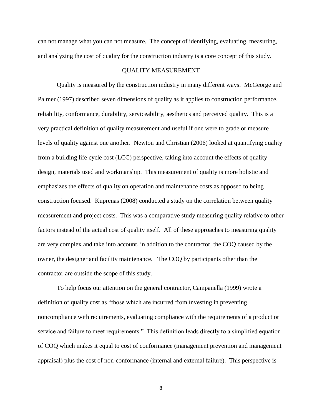can not manage what you can not measure. The concept of identifying, evaluating, measuring, and analyzing the cost of quality for the construction industry is a core concept of this study.

### QUALITY MEASUREMENT

Quality is measured by the construction industry in many different ways. McGeorge and Palmer (1997) described seven dimensions of quality as it applies to construction performance, reliability, conformance, durability, serviceability, aesthetics and perceived quality. This is a very practical definition of quality measurement and useful if one were to grade or measure levels of quality against one another. Newton and Christian (2006) looked at quantifying quality from a building life cycle cost (LCC) perspective, taking into account the effects of quality design, materials used and workmanship. This measurement of quality is more holistic and emphasizes the effects of quality on operation and maintenance costs as opposed to being construction focused. Kuprenas (2008) conducted a study on the correlation between quality measurement and project costs. This was a comparative study measuring quality relative to other factors instead of the actual cost of quality itself. All of these approaches to measuring quality are very complex and take into account, in addition to the contractor, the COQ caused by the owner, the designer and facility maintenance. The COQ by participants other than the contractor are outside the scope of this study.

To help focus our attention on the general contractor, Campanella (1999) wrote a definition of quality cost as "those which are incurred from investing in preventing noncompliance with requirements, evaluating compliance with the requirements of a product or service and failure to meet requirements." This definition leads directly to a simplified equation of COQ which makes it equal to cost of conformance (management prevention and management appraisal) plus the cost of non-conformance (internal and external failure). This perspective is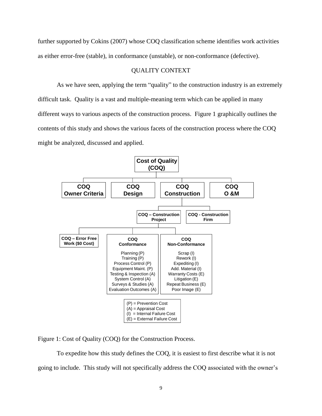further supported by Cokins (2007) whose COQ classification scheme identifies work activities as either error-free (stable), in conformance (unstable), or non-conformance (defective).

### QUALITY CONTEXT

As we have seen, applying the term "quality" to the construction industry is an extremely difficult task. Quality is a vast and multiple-meaning term which can be applied in many different ways to various aspects of the construction process. Figure 1 graphically outlines the contents of this study and shows the various facets of the construction process where the COQ might be analyzed, discussed and applied.



Figure 1: Cost of Quality (COQ) for the Construction Process.

To expedite how this study defines the COQ, it is easiest to first describe what it is not going to include. This study will not specifically address the COQ associated with the owner's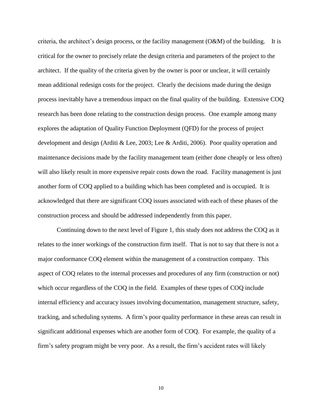criteria, the architect's design process, or the facility management  $(O&M)$  of the building. It is critical for the owner to precisely relate the design criteria and parameters of the project to the architect. If the quality of the criteria given by the owner is poor or unclear, it will certainly mean additional redesign costs for the project. Clearly the decisions made during the design process inevitably have a tremendous impact on the final quality of the building. Extensive COQ research has been done relating to the construction design process. One example among many explores the adaptation of Quality Function Deployment (QFD) for the process of project development and design (Arditi & Lee, 2003; Lee & Arditi, 2006). Poor quality operation and maintenance decisions made by the facility management team (either done cheaply or less often) will also likely result in more expensive repair costs down the road. Facility management is just another form of COQ applied to a building which has been completed and is occupied. It is acknowledged that there are significant COQ issues associated with each of these phases of the construction process and should be addressed independently from this paper.

Continuing down to the next level of Figure 1, this study does not address the COQ as it relates to the inner workings of the construction firm itself. That is not to say that there is not a major conformance COQ element within the management of a construction company. This aspect of COQ relates to the internal processes and procedures of any firm (construction or not) which occur regardless of the COQ in the field. Examples of these types of COQ include internal efficiency and accuracy issues involving documentation, management structure, safety, tracking, and scheduling systems. A firm's poor quality performance in these areas can result in significant additional expenses which are another form of COQ. For example, the quality of a firm's safety program might be very poor. As a result, the firm's accident rates will likely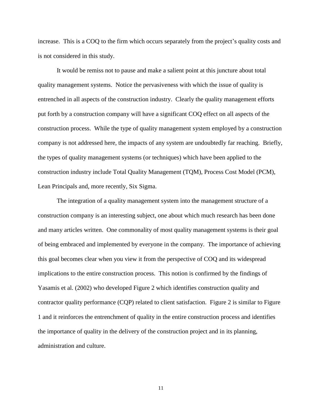increase. This is a COQ to the firm which occurs separately from the project's quality costs and is not considered in this study.

It would be remiss not to pause and make a salient point at this juncture about total quality management systems. Notice the pervasiveness with which the issue of quality is entrenched in all aspects of the construction industry. Clearly the quality management efforts put forth by a construction company will have a significant COQ effect on all aspects of the construction process. While the type of quality management system employed by a construction company is not addressed here, the impacts of any system are undoubtedly far reaching. Briefly, the types of quality management systems (or techniques) which have been applied to the construction industry include Total Quality Management (TQM), Process Cost Model (PCM), Lean Principals and, more recently, Six Sigma.

The integration of a quality management system into the management structure of a construction company is an interesting subject, one about which much research has been done and many articles written. One commonality of most quality management systems is their goal of being embraced and implemented by everyone in the company. The importance of achieving this goal becomes clear when you view it from the perspective of COQ and its widespread implications to the entire construction process. This notion is confirmed by the findings of Yasamis et al. (2002) who developed Figure 2 which identifies construction quality and contractor quality performance (CQP) related to client satisfaction. Figure 2 is similar to Figure 1 and it reinforces the entrenchment of quality in the entire construction process and identifies the importance of quality in the delivery of the construction project and in its planning, administration and culture.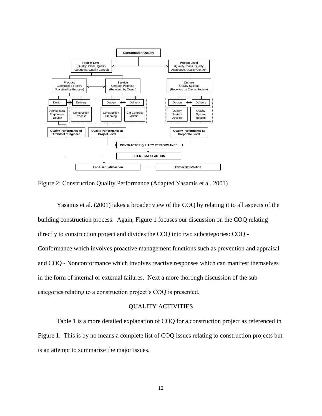

Figure 2: Construction Quality Performance (Adapted Yasamis et al. 2001)

Yasamis et al. (2001) takes a broader view of the COQ by relating it to all aspects of the building construction process. Again, Figure 1 focuses our discussion on the COQ relating directly to construction project and divides the COQ into two subcategories: COQ - Conformance which involves proactive management functions such as prevention and appraisal and COQ - Nonconformance which involves reactive responses which can manifest themselves in the form of internal or external failures. Next a more thorough discussion of the subcategories relating to a construction project's COQ is presented.

## QUALITY ACTIVITIES

Table 1 is a more detailed explanation of COQ for a construction project as referenced in Figure 1. This is by no means a complete list of COQ issues relating to construction projects but is an attempt to summarize the major issues.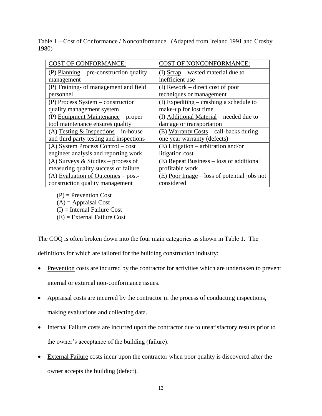Table 1 – Cost of Conformance / Nonconformance. (Adapted from Ireland 1991 and Crosby 1980)

| <b>COST OF CONFORMANCE:</b>             | COST OF NONCONFORMANCE:                       |
|-----------------------------------------|-----------------------------------------------|
| (P) Planning – pre-construction quality | $(I)$ Scrap – wasted material due to          |
| management                              | inefficient use                               |
| (P) Training- of management and field   | (I) $Rework – direct cost of poor$            |
| personnel                               | techniques or management                      |
| (P) Process System – construction       | (I) Expediting – crashing a schedule to       |
| quality management system               | make-up for lost time                         |
| $(P)$ Equipment Maintenance – proper    | (I) Additional Material – needed due to       |
| tool maintenance ensures quality        | damage or transportation                      |
| (A) Testing $&$ Inspections – in-house  | $(E)$ Warranty Costs – call-backs during      |
| and third party testing and inspections | one year warranty (defects)                   |
| $(A)$ System Process Control – cost     | $(E)$ Litigation – arbitration and/or         |
| engineer analysis and reporting work    | litigation cost                               |
| (A) Surveys & Studies – process of      | $(E)$ Repeat Business – loss of additional    |
| measuring quality success or failure    | profitable work                               |
| (A) Evaluation of Outcomes $-$ post-    | $(E)$ Poor Image – loss of potential jobs not |
| construction quality management         | considered                                    |

 $(P)$  = Prevention Cost  $(A)$  = Appraisal Cost (I) = Internal Failure Cost (E) = External Failure Cost

The COQ is often broken down into the four main categories as shown in Table 1. The

definitions for which are tailored for the building construction industry:

- Prevention costs are incurred by the contractor for activities which are undertaken to prevent internal or external non-conformance issues.
- Appraisal costs are incurred by the contractor in the process of conducting inspections, making evaluations and collecting data.
- Internal Failure costs are incurred upon the contractor due to unsatisfactory results prior to the owner's acceptance of the building (failure).
- External Failure costs incur upon the contractor when poor quality is discovered after the owner accepts the building (defect).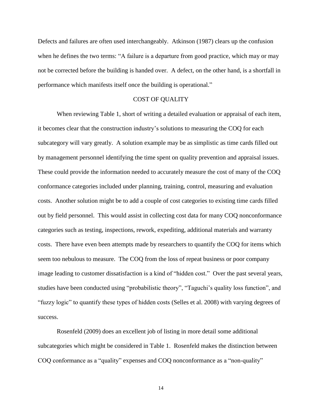Defects and failures are often used interchangeably. Atkinson (1987) clears up the confusion when he defines the two terms: "A failure is a departure from good practice, which may or may not be corrected before the building is handed over. A defect, on the other hand, is a shortfall in performance which manifests itself once the building is operational."

### COST OF QUALITY

When reviewing Table 1, short of writing a detailed evaluation or appraisal of each item, it becomes clear that the construction industry's solutions to measuring the COQ for each subcategory will vary greatly. A solution example may be as simplistic as time cards filled out by management personnel identifying the time spent on quality prevention and appraisal issues. These could provide the information needed to accurately measure the cost of many of the COQ conformance categories included under planning, training, control, measuring and evaluation costs. Another solution might be to add a couple of cost categories to existing time cards filled out by field personnel. This would assist in collecting cost data for many COQ nonconformance categories such as testing, inspections, rework, expediting, additional materials and warranty costs. There have even been attempts made by researchers to quantify the COQ for items which seem too nebulous to measure. The COQ from the loss of repeat business or poor company image leading to customer dissatisfaction is a kind of "hidden cost." Over the past several years, studies have been conducted using "probabilistic theory", "Taguchi's quality loss function", and "fuzzy logic" to quantify these types of hidden costs (Selles et al. 2008) with varying degrees of success.

Rosenfeld (2009) does an excellent job of listing in more detail some additional subcategories which might be considered in Table 1. Rosenfeld makes the distinction between COQ conformance as a "quality" expenses and COQ nonconformance as a "non-quality"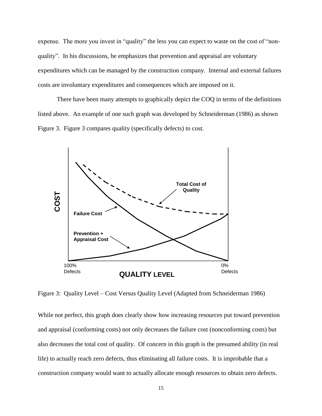expense. The more you invest in "quality" the less you can expect to waste on the cost of "nonquality". In his discussions, he emphasizes that prevention and appraisal are voluntary expenditures which can be managed by the construction company. Internal and external failures costs are involuntary expenditures and consequences which are imposed on it.

There have been many attempts to graphically depict the COQ in terms of the definitions listed above. An example of one such graph was developed by Schneiderman (1986) as shown Figure 3. Figure 3 compares quality (specifically defects) to cost.



Figure 3: Quality Level – Cost Versus Quality Level (Adapted from Schneiderman 1986)

While not perfect, this graph does clearly show how increasing resources put toward prevention and appraisal (conforming costs) not only decreases the failure cost (nonconforming costs) but also decreases the total cost of quality. Of concern in this graph is the presumed ability (in real life) to actually reach zero defects, thus eliminating all failure costs. It is improbable that a construction company would want to actually allocate enough resources to obtain zero defects.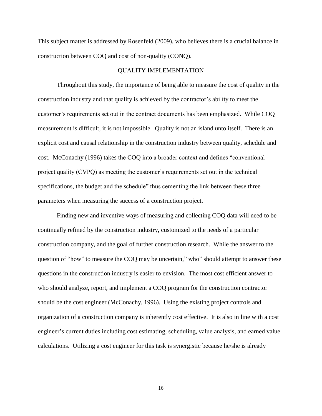This subject matter is addressed by Rosenfeld (2009), who believes there is a crucial balance in construction between COQ and cost of non-quality (CONQ).

#### QUALITY IMPLEMENTATION

Throughout this study, the importance of being able to measure the cost of quality in the construction industry and that quality is achieved by the contractor's ability to meet the customer's requirements set out in the contract documents has been emphasized. While COQ measurement is difficult, it is not impossible. Quality is not an island unto itself. There is an explicit cost and causal relationship in the construction industry between quality, schedule and cost. McConachy (1996) takes the COQ into a broader context and defines "conventional project quality (CVPQ) as meeting the customer's requirements set out in the technical specifications, the budget and the schedule" thus cementing the link between these three parameters when measuring the success of a construction project.

Finding new and inventive ways of measuring and collecting COQ data will need to be continually refined by the construction industry, customized to the needs of a particular construction company, and the goal of further construction research. While the answer to the question of "how" to measure the COQ may be uncertain," who" should attempt to answer these questions in the construction industry is easier to envision. The most cost efficient answer to who should analyze, report, and implement a COQ program for the construction contractor should be the cost engineer (McConachy, 1996). Using the existing project controls and organization of a construction company is inherently cost effective. It is also in line with a cost engineer's current duties including cost estimating, scheduling, value analysis, and earned value calculations. Utilizing a cost engineer for this task is synergistic because he/she is already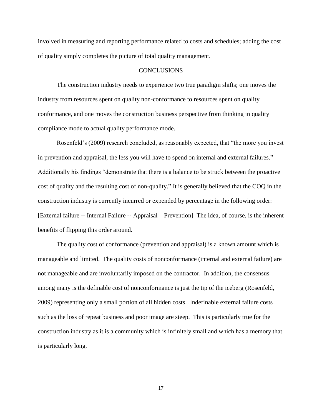involved in measuring and reporting performance related to costs and schedules; adding the cost of quality simply completes the picture of total quality management.

#### **CONCLUSIONS**

The construction industry needs to experience two true paradigm shifts; one moves the industry from resources spent on quality non-conformance to resources spent on quality conformance, and one moves the construction business perspective from thinking in quality compliance mode to actual quality performance mode.

Rosenfeld's (2009) research concluded, as reasonably expected, that "the more you invest in prevention and appraisal, the less you will have to spend on internal and external failures." Additionally his findings "demonstrate that there is a balance to be struck between the proactive cost of quality and the resulting cost of non-quality." It is generally believed that the COQ in the construction industry is currently incurred or expended by percentage in the following order: [External failure -- Internal Failure -- Appraisal – Prevention] The idea, of course, is the inherent benefits of flipping this order around.

The quality cost of conformance (prevention and appraisal) is a known amount which is manageable and limited. The quality costs of nonconformance (internal and external failure) are not manageable and are involuntarily imposed on the contractor. In addition, the consensus among many is the definable cost of nonconformance is just the tip of the iceberg (Rosenfeld, 2009) representing only a small portion of all hidden costs. Indefinable external failure costs such as the loss of repeat business and poor image are steep. This is particularly true for the construction industry as it is a community which is infinitely small and which has a memory that is particularly long.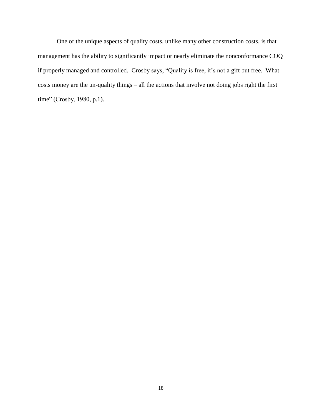One of the unique aspects of quality costs, unlike many other construction costs, is that management has the ability to significantly impact or nearly eliminate the nonconformance COQ if properly managed and controlled. Crosby says, "Quality is free, it's not a gift but free. What costs money are the un-quality things – all the actions that involve not doing jobs right the first time" (Crosby, 1980, p.1).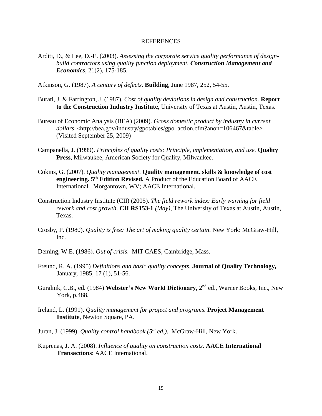#### REFERENCES

- Arditi, D., & Lee, D.-E. (2003). *Assessing the corporate service quality performance of designbuild contractors using quality function deployment. Construction Management and Economics*, 21(2), 175-185.
- Atkinson, G. (1987). *A century of defects.* **Building**, June 1987, 252, 54-55.
- Burati, J. & Farrington, J. (1987). *Cost of quality deviations in design and construction.* **Report to the Construction Industry Institute,** University of Texas at Austin, Austin, Texas.
- Bureau of Economic Analysis (BEA) (2009). *Gross domestic product by industry in current*  dollars. <http://bea.gov/industry/gpotables/gpo\_action.cfm?anon=106467&table> (Visited September 25, 2009)
- Campanella, J. (1999). *Principles of quality costs: Principle, implementation, and use.* **Quality Press**, Milwaukee, American Society for Quality, Milwaukee.
- Cokins, G. (2007). *Quality management*. **Quality management. skills & knowledge of cost engineering. 5th Edition Revised.** A Product of the Education Board of AACE International. Morgantown, WV; AACE International.
- Construction Industry Institute (CII) (2005). *The field rework index: Early warning for field rework and cost growth*. **CII RS153-1** *(May)*, The University of Texas at Austin, Austin, Texas.
- Crosby, P. (1980). *Quality is free: The art of making quality certain*. New York: McGraw-Hill, Inc.
- Deming, W.E. (1986). *Out of crisis*. MIT CAES, Cambridge, Mass.
- Freund, R. A. (1995) *Definitions and basic quality concepts*, **Journal of Quality Technology,** January, 1985, 17 (1), 51-56.
- Guralnik, C.B., ed. (1984) **Webster's New World Dictionary**, 2nd ed., Warner Books, Inc., New York, p.488.
- Ireland, L. (1991). *Quality management for project and programs.* **Project Management Institute**, Newton Square, PA.
- Juran, J. (1999). *Quality control handbook (5th ed.)*. McGraw-Hill, New York.
- Kuprenas, J. A. (2008). *Influence of quality on construction costs*. **AACE International Transactions**: AACE International.